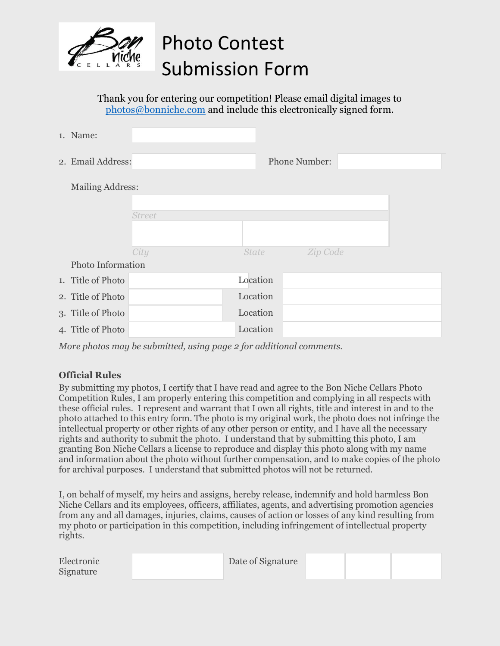

## Photo Contest Submission Form

Thank you for entering our competition! Please email digital images to [photos@bonniche.com](mailto:photos@bonniche.com) and include this electronically signed form.

|                   | 1. Name:                |               |              |                      |  |  |  |
|-------------------|-------------------------|---------------|--------------|----------------------|--|--|--|
|                   | 2. Email Address:       |               |              | <b>Phone Number:</b> |  |  |  |
|                   | <b>Mailing Address:</b> |               |              |                      |  |  |  |
|                   |                         |               |              |                      |  |  |  |
|                   |                         | <b>Street</b> |              |                      |  |  |  |
|                   |                         |               |              |                      |  |  |  |
|                   |                         | City          | <b>State</b> | Zip Code             |  |  |  |
| Photo Information |                         |               |              |                      |  |  |  |
|                   | 1. Title of Photo       |               | Location     |                      |  |  |  |
|                   | 2. Title of Photo       |               | Location     |                      |  |  |  |
|                   | 3. Title of Photo       |               | Location     |                      |  |  |  |
|                   | 4. Title of Photo       |               | Location     |                      |  |  |  |

*More photos may be submitted, using page 2 for additional comments.* 

## **Official Rules**

By submitting my photos, I certify that I have read and agree to the Bon Niche Cellars Photo Competition Rules, I am properly entering this competition and complying in all respects with these official rules. I represent and warrant that I own all rights, title and interest in and to the photo attached to this entry form. The photo is my original work, the photo does not infringe the intellectual property or other rights of any other person or entity, and I have all the necessary rights and authority to submit the photo. I understand that by submitting this photo, I am granting Bon Niche Cellars a license to reproduce and display this photo along with my name and information about the photo without further compensation, and to make copies of the photo for archival purposes. I understand that submitted photos will not be returned.

I, on behalf of myself, my heirs and assigns, hereby release, indemnify and hold harmless Bon Niche Cellars and its employees, officers, affiliates, agents, and advertising promotion agencies from any and all damages, injuries, claims, causes of action or losses of any kind resulting from my photo or participation in this competition, including infringement of intellectual property rights.

| Electronic<br>Signature | Date of Signature |  |  |
|-------------------------|-------------------|--|--|
|-------------------------|-------------------|--|--|